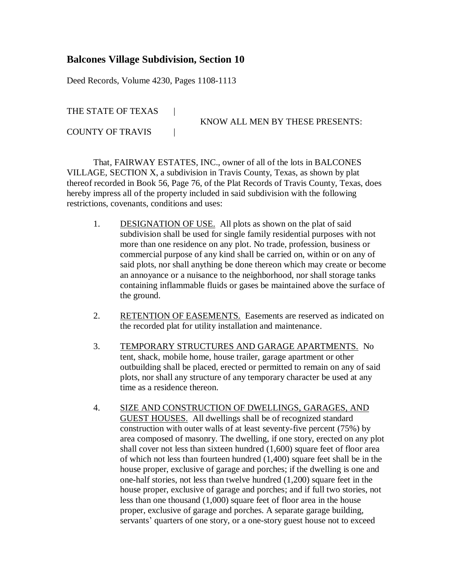## **Balcones Village Subdivision, Section 10**

Deed Records, Volume 4230, Pages 1108-1113

THE STATE OF TEXAS |

KNOW ALL MEN BY THESE PRESENTS:

COUNTY OF TRAVIS |

That, FAIRWAY ESTATES, INC., owner of all of the lots in BALCONES VILLAGE, SECTION X, a subdivision in Travis County, Texas, as shown by plat thereof recorded in Book 56, Page 76, of the Plat Records of Travis County, Texas, does hereby impress all of the property included in said subdivision with the following restrictions, covenants, conditions and uses:

- 1. DESIGNATION OF USE. All plots as shown on the plat of said subdivision shall be used for single family residential purposes with not more than one residence on any plot. No trade, profession, business or commercial purpose of any kind shall be carried on, within or on any of said plots, nor shall anything be done thereon which may create or become an annoyance or a nuisance to the neighborhood, nor shall storage tanks containing inflammable fluids or gases be maintained above the surface of the ground.
- 2. RETENTION OF EASEMENTS. Easements are reserved as indicated on the recorded plat for utility installation and maintenance.
- 3. TEMPORARY STRUCTURES AND GARAGE APARTMENTS. No tent, shack, mobile home, house trailer, garage apartment or other outbuilding shall be placed, erected or permitted to remain on any of said plots, nor shall any structure of any temporary character be used at any time as a residence thereon.
- 4. SIZE AND CONSTRUCTION OF DWELLINGS, GARAGES, AND GUEST HOUSES. All dwellings shall be of recognized standard construction with outer walls of at least seventy-five percent (75%) by area composed of masonry. The dwelling, if one story, erected on any plot shall cover not less than sixteen hundred (1,600) square feet of floor area of which not less than fourteen hundred (1,400) square feet shall be in the house proper, exclusive of garage and porches; if the dwelling is one and one-half stories, not less than twelve hundred (1,200) square feet in the house proper, exclusive of garage and porches; and if full two stories, not less than one thousand (1,000) square feet of floor area in the house proper, exclusive of garage and porches. A separate garage building, servants' quarters of one story, or a one-story guest house not to exceed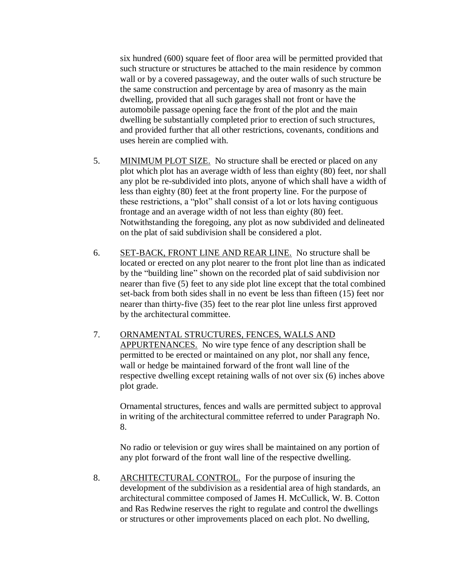six hundred (600) square feet of floor area will be permitted provided that such structure or structures be attached to the main residence by common wall or by a covered passageway, and the outer walls of such structure be the same construction and percentage by area of masonry as the main dwelling, provided that all such garages shall not front or have the automobile passage opening face the front of the plot and the main dwelling be substantially completed prior to erection of such structures, and provided further that all other restrictions, covenants, conditions and uses herein are complied with.

- 5. MINIMUM PLOT SIZE. No structure shall be erected or placed on any plot which plot has an average width of less than eighty (80) feet, nor shall any plot be re-subdivided into plots, anyone of which shall have a width of less than eighty (80) feet at the front property line. For the purpose of these restrictions, a "plot" shall consist of a lot or lots having contiguous frontage and an average width of not less than eighty (80) feet. Notwithstanding the foregoing, any plot as now subdivided and delineated on the plat of said subdivision shall be considered a plot.
- 6. SET-BACK, FRONT LINE AND REAR LINE. No structure shall be located or erected on any plot nearer to the front plot line than as indicated by the "building line" shown on the recorded plat of said subdivision nor nearer than five (5) feet to any side plot line except that the total combined set-back from both sides shall in no event be less than fifteen (15) feet nor nearer than thirty-five (35) feet to the rear plot line unless first approved by the architectural committee.
- 7. ORNAMENTAL STRUCTURES, FENCES, WALLS AND APPURTENANCES. No wire type fence of any description shall be permitted to be erected or maintained on any plot, nor shall any fence, wall or hedge be maintained forward of the front wall line of the respective dwelling except retaining walls of not over six (6) inches above plot grade.

Ornamental structures, fences and walls are permitted subject to approval in writing of the architectural committee referred to under Paragraph No. 8.

No radio or television or guy wires shall be maintained on any portion of any plot forward of the front wall line of the respective dwelling.

8. ARCHITECTURAL CONTROL. For the purpose of insuring the development of the subdivision as a residential area of high standards, an architectural committee composed of James H. McCullick, W. B. Cotton and Ras Redwine reserves the right to regulate and control the dwellings or structures or other improvements placed on each plot. No dwelling,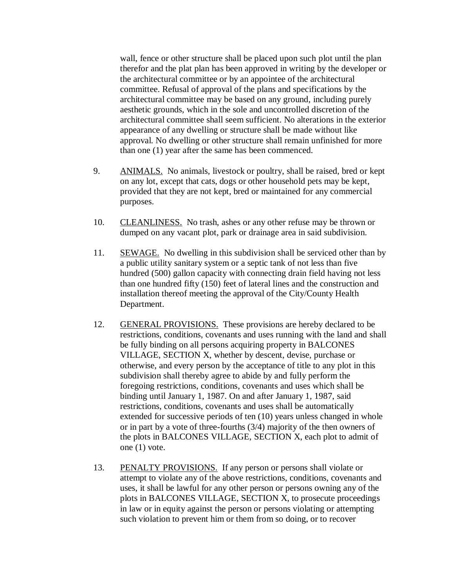wall, fence or other structure shall be placed upon such plot until the plan therefor and the plat plan has been approved in writing by the developer or the architectural committee or by an appointee of the architectural committee. Refusal of approval of the plans and specifications by the architectural committee may be based on any ground, including purely aesthetic grounds, which in the sole and uncontrolled discretion of the architectural committee shall seem sufficient. No alterations in the exterior appearance of any dwelling or structure shall be made without like approval. No dwelling or other structure shall remain unfinished for more than one (1) year after the same has been commenced.

- 9. ANIMALS. No animals, livestock or poultry, shall be raised, bred or kept on any lot, except that cats, dogs or other household pets may be kept, provided that they are not kept, bred or maintained for any commercial purposes.
- 10. CLEANLINESS. No trash, ashes or any other refuse may be thrown or dumped on any vacant plot, park or drainage area in said subdivision.
- 11. SEWAGE. No dwelling in this subdivision shall be serviced other than by a public utility sanitary system or a septic tank of not less than five hundred (500) gallon capacity with connecting drain field having not less than one hundred fifty (150) feet of lateral lines and the construction and installation thereof meeting the approval of the City/County Health Department.
- 12. GENERAL PROVISIONS. These provisions are hereby declared to be restrictions, conditions, covenants and uses running with the land and shall be fully binding on all persons acquiring property in BALCONES VILLAGE, SECTION X, whether by descent, devise, purchase or otherwise, and every person by the acceptance of title to any plot in this subdivision shall thereby agree to abide by and fully perform the foregoing restrictions, conditions, covenants and uses which shall be binding until January 1, 1987. On and after January 1, 1987, said restrictions, conditions, covenants and uses shall be automatically extended for successive periods of ten (10) years unless changed in whole or in part by a vote of three-fourths (3/4) majority of the then owners of the plots in BALCONES VILLAGE, SECTION X, each plot to admit of one (1) vote.
- 13. PENALTY PROVISIONS. If any person or persons shall violate or attempt to violate any of the above restrictions, conditions, covenants and uses, it shall be lawful for any other person or persons owning any of the plots in BALCONES VILLAGE, SECTION X, to prosecute proceedings in law or in equity against the person or persons violating or attempting such violation to prevent him or them from so doing, or to recover